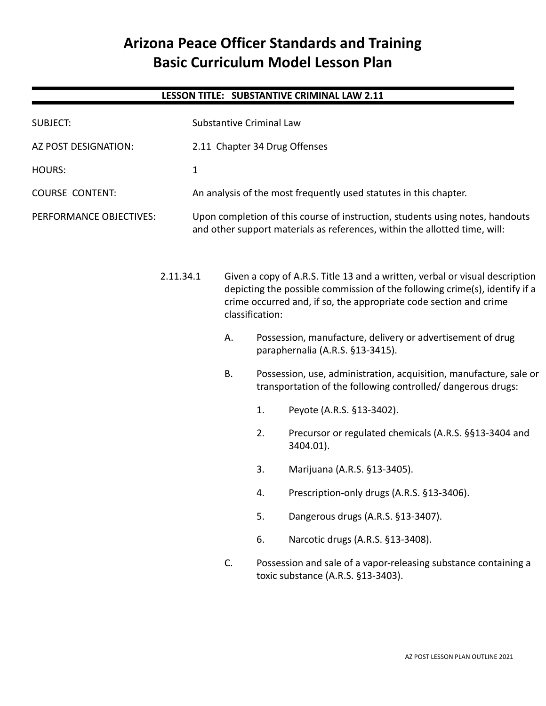# **Arizona Peace Officer Standards and Training Basic Curriculum Model Lesson Plan**

# **LESSON TITLE: SUBSTANTIVE CRIMINAL LAW 2.11**

| <b>SUBJECT:</b>         |              | <b>Substantive Criminal Law</b>                                                                                                                                                                                                                   |                                                                                                                                                 |    |                                                                     |  |  |
|-------------------------|--------------|---------------------------------------------------------------------------------------------------------------------------------------------------------------------------------------------------------------------------------------------------|-------------------------------------------------------------------------------------------------------------------------------------------------|----|---------------------------------------------------------------------|--|--|
| AZ POST DESIGNATION:    |              |                                                                                                                                                                                                                                                   |                                                                                                                                                 |    | 2.11 Chapter 34 Drug Offenses                                       |  |  |
| <b>HOURS:</b>           | $\mathbf{1}$ |                                                                                                                                                                                                                                                   |                                                                                                                                                 |    |                                                                     |  |  |
| <b>COURSE CONTENT:</b>  |              | An analysis of the most frequently used statutes in this chapter.                                                                                                                                                                                 |                                                                                                                                                 |    |                                                                     |  |  |
| PERFORMANCE OBJECTIVES: |              | Upon completion of this course of instruction, students using notes, handouts<br>and other support materials as references, within the allotted time, will:                                                                                       |                                                                                                                                                 |    |                                                                     |  |  |
|                         | 2.11.34.1    | Given a copy of A.R.S. Title 13 and a written, verbal or visual description<br>depicting the possible commission of the following crime(s), identify if a<br>crime occurred and, if so, the appropriate code section and crime<br>classification: |                                                                                                                                                 |    |                                                                     |  |  |
|                         |              | Possession, manufacture, delivery or advertisement of drug<br>Α.<br>paraphernalia (A.R.S. §13-3415).                                                                                                                                              |                                                                                                                                                 |    |                                                                     |  |  |
|                         |              |                                                                                                                                                                                                                                                   | <b>B.</b><br>Possession, use, administration, acquisition, manufacture, sale or<br>transportation of the following controlled/ dangerous drugs: |    |                                                                     |  |  |
|                         |              |                                                                                                                                                                                                                                                   |                                                                                                                                                 | 1. | Peyote (A.R.S. §13-3402).                                           |  |  |
|                         |              |                                                                                                                                                                                                                                                   |                                                                                                                                                 | 2. | Precursor or regulated chemicals (A.R.S. §§13-3404 and<br>3404.01). |  |  |
|                         |              |                                                                                                                                                                                                                                                   |                                                                                                                                                 | 3. | Marijuana (A.R.S. §13-3405).                                        |  |  |
|                         |              |                                                                                                                                                                                                                                                   |                                                                                                                                                 | 4. | Prescription-only drugs (A.R.S. §13-3406).                          |  |  |
|                         |              |                                                                                                                                                                                                                                                   |                                                                                                                                                 | 5. | Dangerous drugs (A.R.S. §13-3407).                                  |  |  |
|                         |              |                                                                                                                                                                                                                                                   |                                                                                                                                                 | 6. | Narcotic drugs (A.R.S. §13-3408).                                   |  |  |
|                         |              |                                                                                                                                                                                                                                                   | Possession and sale of a vapor-releasing substance containing a<br>C.<br>toxic substance (A.R.S. §13-3403).                                     |    |                                                                     |  |  |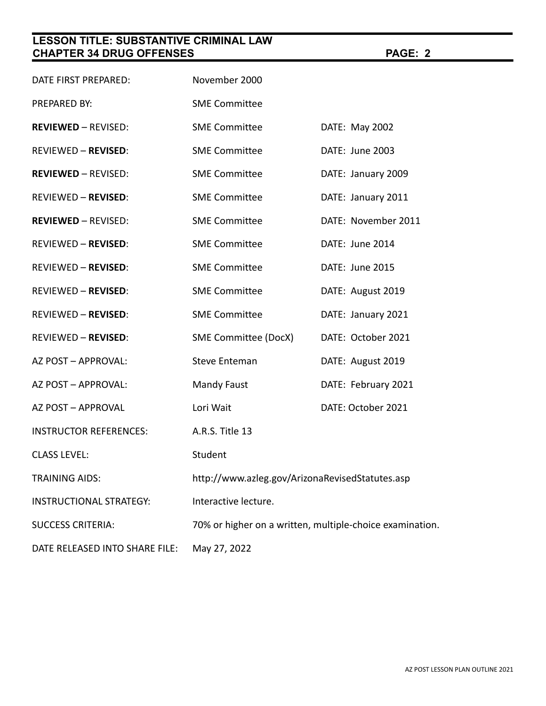# **LESSON TITLE: SUBSTANTIVE CRIMINAL LAW CHAPTER 34 DRUG OFFENSES PAGE: 2**

| DATE FIRST PREPARED:           | November 2000                                            |                     |  |
|--------------------------------|----------------------------------------------------------|---------------------|--|
| PREPARED BY:                   | <b>SME Committee</b>                                     |                     |  |
| <b>REVIEWED - REVISED:</b>     | <b>SME Committee</b>                                     | DATE: May 2002      |  |
| <b>REVIEWED - REVISED:</b>     | <b>SME Committee</b>                                     | DATE: June 2003     |  |
| <b>REVIEWED - REVISED:</b>     | <b>SME Committee</b>                                     | DATE: January 2009  |  |
| <b>REVIEWED - REVISED:</b>     | <b>SME Committee</b>                                     | DATE: January 2011  |  |
| <b>REVIEWED - REVISED:</b>     | <b>SME Committee</b>                                     | DATE: November 2011 |  |
| <b>REVIEWED - REVISED:</b>     | <b>SME Committee</b>                                     | DATE: June 2014     |  |
| <b>REVIEWED - REVISED:</b>     | <b>SME Committee</b>                                     | DATE: June 2015     |  |
| <b>REVIEWED - REVISED:</b>     | <b>SME Committee</b>                                     | DATE: August 2019   |  |
| <b>REVIEWED - REVISED:</b>     | <b>SME Committee</b>                                     | DATE: January 2021  |  |
| <b>REVIEWED - REVISED:</b>     | SME Committee (DocX)                                     | DATE: October 2021  |  |
| AZ POST - APPROVAL:            | <b>Steve Enteman</b>                                     | DATE: August 2019   |  |
| AZ POST - APPROVAL:            | <b>Mandy Faust</b>                                       | DATE: February 2021 |  |
| AZ POST - APPROVAL             | Lori Wait                                                | DATE: October 2021  |  |
| <b>INSTRUCTOR REFERENCES:</b>  | A.R.S. Title 13                                          |                     |  |
| <b>CLASS LEVEL:</b>            | Student                                                  |                     |  |
| <b>TRAINING AIDS:</b>          | http://www.azleg.gov/ArizonaRevisedStatutes.asp          |                     |  |
| INSTRUCTIONAL STRATEGY:        | Interactive lecture.                                     |                     |  |
| <b>SUCCESS CRITERIA:</b>       | 70% or higher on a written, multiple-choice examination. |                     |  |
| DATE RELEASED INTO SHARE FILE: | May 27, 2022                                             |                     |  |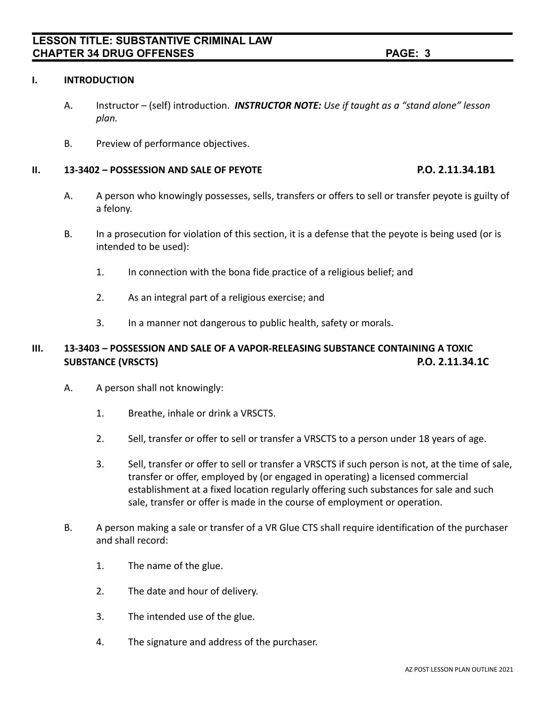### **I. INTRODUCTION**

- A. Instructor (self) introduction. *INSTRUCTOR NOTE: Use if taught as a "stand alone" lesson plan.*
- B. Preview of performance objectives.

#### **II. 13-3402 – POSSESSION AND SALE OF PEYOTE P.O. 2.11.34.1B1**

- A. A person who knowingly possesses, sells, transfers or offers to sell or transfer peyote is guilty of a felony.
- B. In a prosecution for violation of this section, it is a defense that the peyote is being used (or is intended to be used):
	- 1. In connection with the bona fide practice of a religious belief; and
	- 2. As an integral part of a religious exercise; and
	- 3. In a manner not dangerous to public health, safety or morals.

# **III. 13-3403 – POSSESSION AND SALE OF A VAPOR-RELEASING SUBSTANCE CONTAINING A TOXIC SUBSTANCE (VRSCTS) P.O. 2.11.34.1C**

- A. A person shall not knowingly:
	- 1. Breathe, inhale or drink a VRSCTS.
	- 2. Sell, transfer or offer to sell or transfer a VRSCTS to a person under 18 years of age.
	- 3. Sell, transfer or offer to sell or transfer a VRSCTS if such person is not, at the time of sale, transfer or offer, employed by (or engaged in operating) a licensed commercial establishment at a fixed location regularly offering such substances for sale and such sale, transfer or offer is made in the course of employment or operation.
- B. A person making a sale or transfer of a VR Glue CTS shall require identification of the purchaser and shall record:
	- 1. The name of the glue.
	- 2. The date and hour of delivery.
	- 3. The intended use of the glue.
	- 4. The signature and address of the purchaser.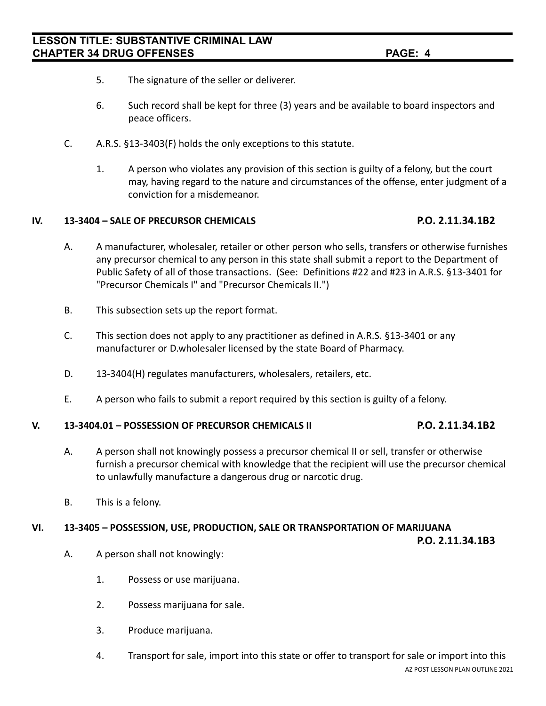- 5. The signature of the seller or deliverer.
- 6. Such record shall be kept for three (3) years and be available to board inspectors and peace officers.
- C. A.R.S. §13-3403(F) holds the only exceptions to this statute.
	- 1. A person who violates any provision of this section is guilty of a felony, but the court may, having regard to the nature and circumstances of the offense, enter judgment of a conviction for a misdemeanor.

### **IV. 13-3404 – SALE OF PRECURSOR CHEMICALS P.O. 2.11.34.1B2**

- A. A manufacturer, wholesaler, retailer or other person who sells, transfers or otherwise furnishes any precursor chemical to any person in this state shall submit a report to the Department of Public Safety of all of those transactions. (See: Definitions #22 and #23 in A.R.S. §13-3401 for "Precursor Chemicals I" and "Precursor Chemicals II.")
- B. This subsection sets up the report format.
- C. This section does not apply to any practitioner as defined in A.R.S. §13-3401 or any manufacturer or D.wholesaler licensed by the state Board of Pharmacy.
- D. 13-3404(H) regulates manufacturers, wholesalers, retailers, etc.
- E. A person who fails to submit a report required by this section is guilty of a felony.

#### **V. 13-3404.01 – POSSESSION OF PRECURSOR CHEMICALS II P.O. 2.11.34.1B2**

- A. A person shall not knowingly possess a precursor chemical II or sell, transfer or otherwise furnish a precursor chemical with knowledge that the recipient will use the precursor chemical to unlawfully manufacture a dangerous drug or narcotic drug.
- B. This is a felony.

#### **VI. 13-3405 – POSSESSION, USE, PRODUCTION, SALE OR TRANSPORTATION OF MARIJUANA**

**P.O. 2.11.34.1B3**

- A. A person shall not knowingly:
	- 1. Possess or use marijuana.
	- 2. Possess marijuana for sale.
	- 3. Produce marijuana.
	- 4. Transport for sale, import into this state or offer to transport for sale or import into this AZ POST LESSON PLAN OUTLINE 2021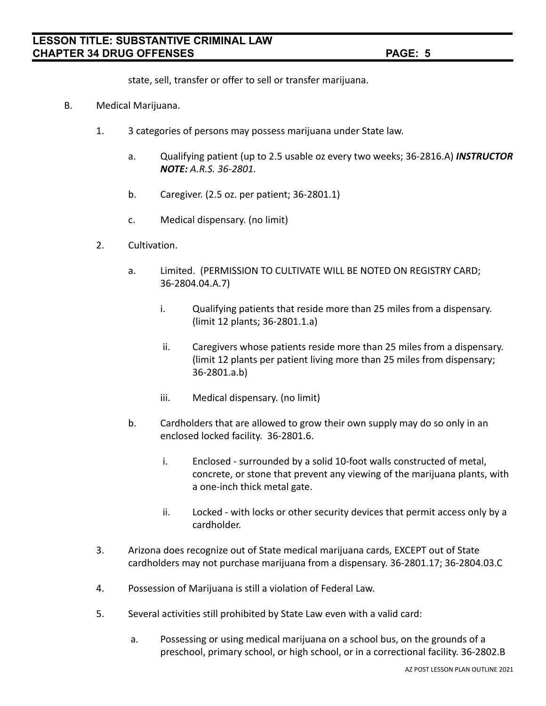state, sell, transfer or offer to sell or transfer marijuana.

- B. Medical Marijuana.
	- 1. 3 categories of persons may possess marijuana under State law.
		- a. Qualifying patient (up to 2.5 usable oz every two weeks; 36-2816.A) *INSTRUCTOR NOTE: A.R.S. 36-2801.*
		- b. Caregiver. (2.5 oz. per patient; 36-2801.1)
		- c. Medical dispensary. (no limit)
	- 2. Cultivation.
		- a. Limited. (PERMISSION TO CULTIVATE WILL BE NOTED ON REGISTRY CARD; 36-2804.04.A.7)
			- i. Qualifying patients that reside more than 25 miles from a dispensary. (limit 12 plants; 36-2801.1.a)
			- ii. Caregivers whose patients reside more than 25 miles from a dispensary. (limit 12 plants per patient living more than 25 miles from dispensary; 36-2801.a.b)
			- iii. Medical dispensary. (no limit)
		- b. Cardholders that are allowed to grow their own supply may do so only in an enclosed locked facility. 36-2801.6.
			- i. Enclosed surrounded by a solid 10-foot walls constructed of metal, concrete, or stone that prevent any viewing of the marijuana plants, with a one-inch thick metal gate.
			- ii. Locked with locks or other security devices that permit access only by a cardholder.
	- 3. Arizona does recognize out of State medical marijuana cards, EXCEPT out of State cardholders may not purchase marijuana from a dispensary. 36-2801.17; 36-2804.03.C
	- 4. Possession of Marijuana is still a violation of Federal Law.
	- 5. Several activities still prohibited by State Law even with a valid card:
		- a. Possessing or using medical marijuana on a school bus, on the grounds of a preschool, primary school, or high school, or in a correctional facility. 36-2802.B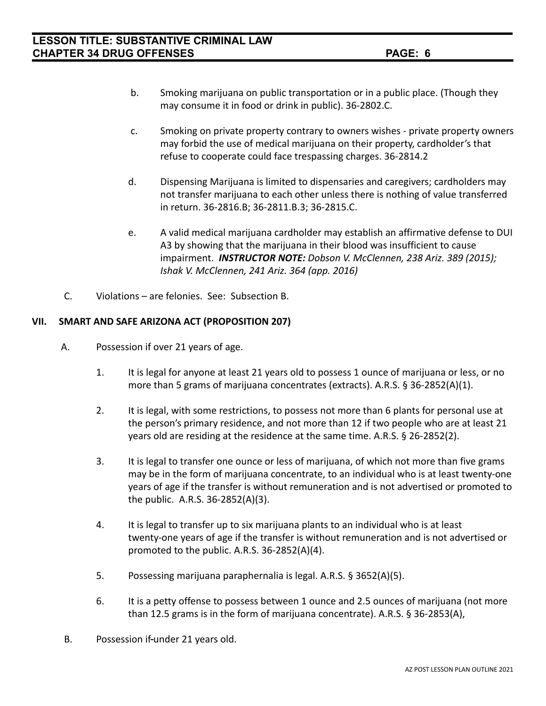- b. Smoking marijuana on public transportation or in a public place. (Though they may consume it in food or drink in public). 36-2802.C.
- c. Smoking on private property contrary to owners wishes private property owners may forbid the use of medical marijuana on their property, cardholder's that refuse to cooperate could face trespassing charges. 36-2814.2
- d. Dispensing Marijuana is limited to dispensaries and caregivers; cardholders may not transfer marijuana to each other unless there is nothing of value transferred in return. 36-2816.B; 36-2811.B.3; 36-2815.C.
- e. A valid medical marijuana cardholder may establish an affirmative defense to DUI A3 by showing that the marijuana in their blood was insufficient to cause impairment. *INSTRUCTOR NOTE: Dobson V. McClennen, 238 Ariz. 389 (2015); Ishak V. McClennen, 241 Ariz. 364 (app. 2016)*
- C. Violations are felonies. See: Subsection B.

### **VII. SMART AND SAFE ARIZONA ACT (PROPOSITION 207)**

- A. Possession if over 21 years of age.
	- 1. It is legal for anyone at least 21 years old to possess 1 ounce of marijuana or less, or no more than 5 grams of marijuana concentrates (extracts). A.R.S. § 36-2852(A)(1).
	- 2. It is legal, with some restrictions, to possess not more than 6 plants for personal use at the person's primary residence, and not more than 12 if two people who are at least 21 years old are residing at the residence at the same time. A.R.S. § 26-2852(2).
	- 3. It is legal to transfer one ounce or less of marijuana, of which not more than five grams may be in the form of marijuana concentrate, to an individual who is at least twenty-one years of age if the transfer is without remuneration and is not advertised or promoted to the public. A.R.S. 36-2852(A)(3).
	- 4. It is legal to transfer up to six marijuana plants to an individual who is at least twenty-one years of age if the transfer is without remuneration and is not advertised or promoted to the public. A.R.S. 36-2852(A)(4).
	- 5. Possessing marijuana paraphernalia is legal. A.R.S. § 3652(A)(5).
	- 6. It is a petty offense to possess between 1 ounce and 2.5 ounces of marijuana (not more than 12.5 grams is in the form of marijuana concentrate). A.R.S. § 36-2853(A),
- B. Possession if-under 21 years old.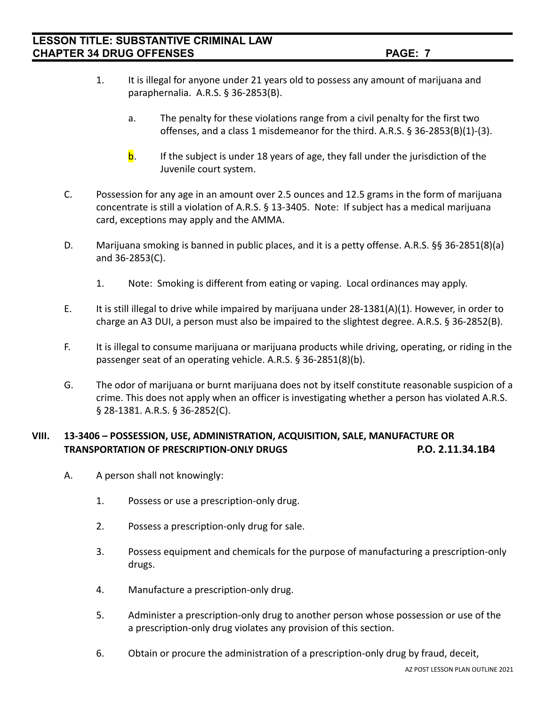- 1. It is illegal for anyone under 21 years old to possess any amount of marijuana and paraphernalia. A.R.S. § 36-2853(B).
	- a. The penalty for these violations range from a civil penalty for the first two offenses, and a class 1 misdemeanor for the third. A.R.S. § 36-2853(B)(1)-(3).
	- **. If the subject is under 18 years of age, they fall under the jurisdiction of the** Juvenile court system.
- C. Possession for any age in an amount over 2.5 ounces and 12.5 grams in the form of marijuana concentrate is still a violation of A.R.S. § 13-3405. Note: If subject has a medical marijuana card, exceptions may apply and the AMMA.
- D. Marijuana smoking is banned in public places, and it is a petty offense. A.R.S. §§ 36-2851(8)(a) and 36-2853(C).
	- 1. Note: Smoking is different from eating or vaping. Local ordinances may apply.
- E. It is still illegal to drive while impaired by marijuana under 28-1381(A)(1). However, in order to charge an A3 DUI, a person must also be impaired to the slightest degree. A.R.S. § 36-2852(B).
- F. It is illegal to consume marijuana or marijuana products while driving, operating, or riding in the passenger seat of an operating vehicle. A.R.S. § 36-2851(8)(b).
- G. The odor of marijuana or burnt marijuana does not by itself constitute reasonable suspicion of a crime. This does not apply when an officer is investigating whether a person has violated A.R.S. § 28-1381. A.R.S. § 36-2852(C).

# **VIII. 13-3406 – POSSESSION, USE, ADMINISTRATION, ACQUISITION, SALE, MANUFACTURE OR TRANSPORTATION OF PRESCRIPTION-ONLY DRUGS P.O. 2.11.34.1B4**

- A. A person shall not knowingly:
	- 1. Possess or use a prescription-only drug.
	- 2. Possess a prescription-only drug for sale.
	- 3. Possess equipment and chemicals for the purpose of manufacturing a prescription-only drugs.
	- 4. Manufacture a prescription-only drug.
	- 5. Administer a prescription-only drug to another person whose possession or use of the a prescription-only drug violates any provision of this section.
	- 6. Obtain or procure the administration of a prescription-only drug by fraud, deceit,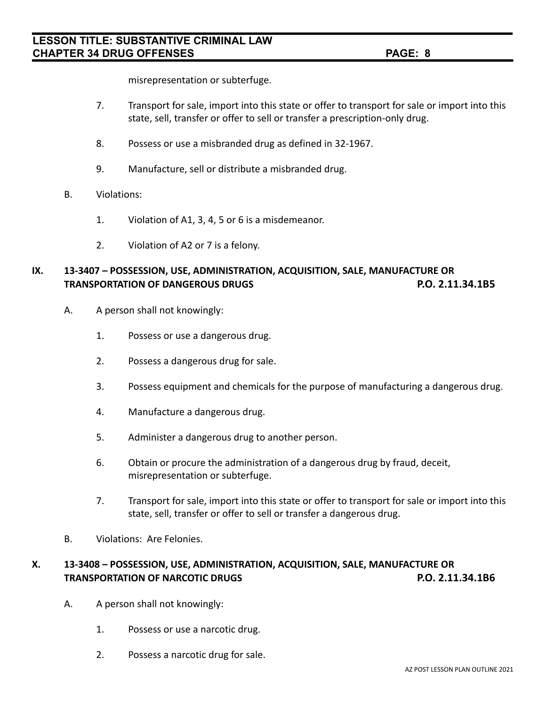misrepresentation or subterfuge.

- 7. Transport for sale, import into this state or offer to transport for sale or import into this state, sell, transfer or offer to sell or transfer a prescription-only drug.
- 8. Possess or use a misbranded drug as defined in 32-1967.
- 9. Manufacture, sell or distribute a misbranded drug.
- B. Violations:
	- 1. Violation of A1, 3, 4, 5 or 6 is a misdemeanor.
	- 2. Violation of A2 or 7 is a felony.

# **IX. 13-3407 – POSSESSION, USE, ADMINISTRATION, ACQUISITION, SALE, MANUFACTURE OR TRANSPORTATION OF DANGEROUS DRUGS P.O. 2.11.34.1B5**

- A. A person shall not knowingly:
	- 1. Possess or use a dangerous drug.
	- 2. Possess a dangerous drug for sale.
	- 3. Possess equipment and chemicals for the purpose of manufacturing a dangerous drug.
	- 4. Manufacture a dangerous drug.
	- 5. Administer a dangerous drug to another person.
	- 6. Obtain or procure the administration of a dangerous drug by fraud, deceit, misrepresentation or subterfuge.
	- 7. Transport for sale, import into this state or offer to transport for sale or import into this state, sell, transfer or offer to sell or transfer a dangerous drug.
- B. Violations: Are Felonies.

# **X. 13-3408 – POSSESSION, USE, ADMINISTRATION, ACQUISITION, SALE, MANUFACTURE OR TRANSPORTATION OF NARCOTIC DRUGS P.O. 2.11.34.1B6**

- A. A person shall not knowingly:
	- 1. Possess or use a narcotic drug.
	- 2. Possess a narcotic drug for sale.